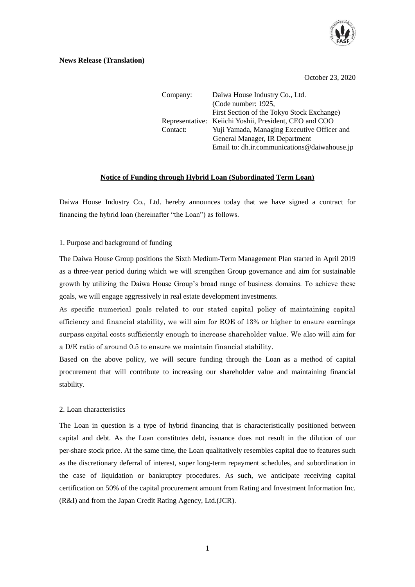

October 23, 2020

| Company: | Daiwa House Industry Co., Ltd.                         |
|----------|--------------------------------------------------------|
|          | (Code number: 1925,                                    |
|          | First Section of the Tokyo Stock Exchange)             |
|          | Representative: Keiichi Yoshii, President, CEO and COO |
| Contact: | Yuji Yamada, Managing Executive Officer and            |
|          | General Manager, IR Department                         |
|          | Email to: dh.ir.communications@daiwahouse.jp           |

# **Notice of Funding through Hybrid Loan (Subordinated Term Loan)**

Daiwa House Industry Co., Ltd. hereby announces today that we have signed a contract for financing the hybrid loan (hereinafter "the Loan") as follows.

## 1. Purpose and background of funding

The Daiwa House Group positions the Sixth Medium-Term Management Plan started in April 2019 as a three-year period during which we will strengthen Group governance and aim for sustainable growth by utilizing the Daiwa House Group's broad range of business domains. To achieve these goals, we will engage aggressively in real estate development investments.

As specific numerical goals related to our stated capital policy of maintaining capital efficiency and financial stability, we will aim for ROE of 13% or higher to ensure earnings surpass capital costs sufficiently enough to increase shareholder value. We also will aim for a D/E ratio of around 0.5 to ensure we maintain financial stability.

Based on the above policy, we will secure funding through the Loan as a method of capital procurement that will contribute to increasing our shareholder value and maintaining financial stability.

## 2. Loan characteristics

The Loan in question is a type of hybrid financing that is characteristically positioned between capital and debt. As the Loan constitutes debt, issuance does not result in the dilution of our per-share stock price. At the same time, the Loan qualitatively resembles capital due to features such as the discretionary deferral of interest, super long-term repayment schedules, and subordination in the case of liquidation or bankruptcy procedures. As such, we anticipate receiving capital certification on 50% of the capital procurement amount from Rating and Investment Information Inc. (R&I) and from the Japan Credit Rating Agency, Ltd.(JCR).